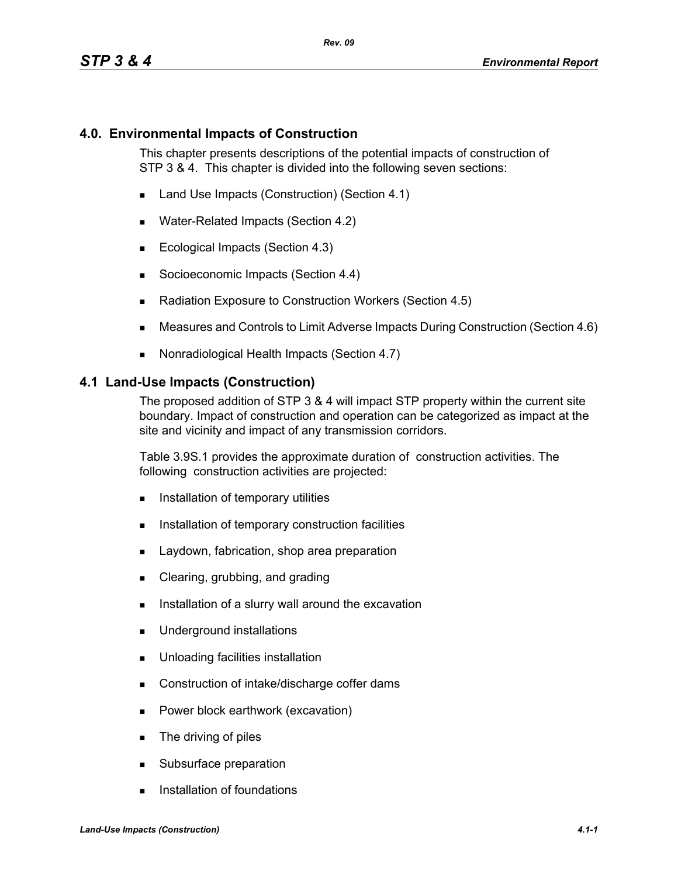### **4.0. Environmental Impacts of Construction**

This chapter presents descriptions of the potential impacts of construction of STP 3 & 4. This chapter is divided into the following seven sections:

- Land Use Impacts (Construction) (Section 4.1)
- Water-Related Impacts (Section 4.2)
- Ecological Impacts (Section 4.3)
- Socioeconomic Impacts (Section 4.4)
- Radiation Exposure to Construction Workers (Section 4.5)
- Measures and Controls to Limit Adverse Impacts During Construction (Section 4.6)
- Nonradiological Health Impacts (Section 4.7)

#### **4.1 Land-Use Impacts (Construction)**

The proposed addition of STP 3 & 4 will impact STP property within the current site boundary. Impact of construction and operation can be categorized as impact at the site and vicinity and impact of any transmission corridors.

Table 3.9S.1 provides the approximate duration of construction activities. The following construction activities are projected:

- **Installation of temporary utilities**
- **Installation of temporary construction facilities**
- **Laydown, fabrication, shop area preparation**
- Clearing, grubbing, and grading
- Installation of a slurry wall around the excavation
- **Underground installations**
- **Unloading facilities installation**
- Construction of intake/discharge coffer dams
- **Power block earthwork (excavation)**
- **The driving of piles**
- Subsurface preparation
- **Installation of foundations**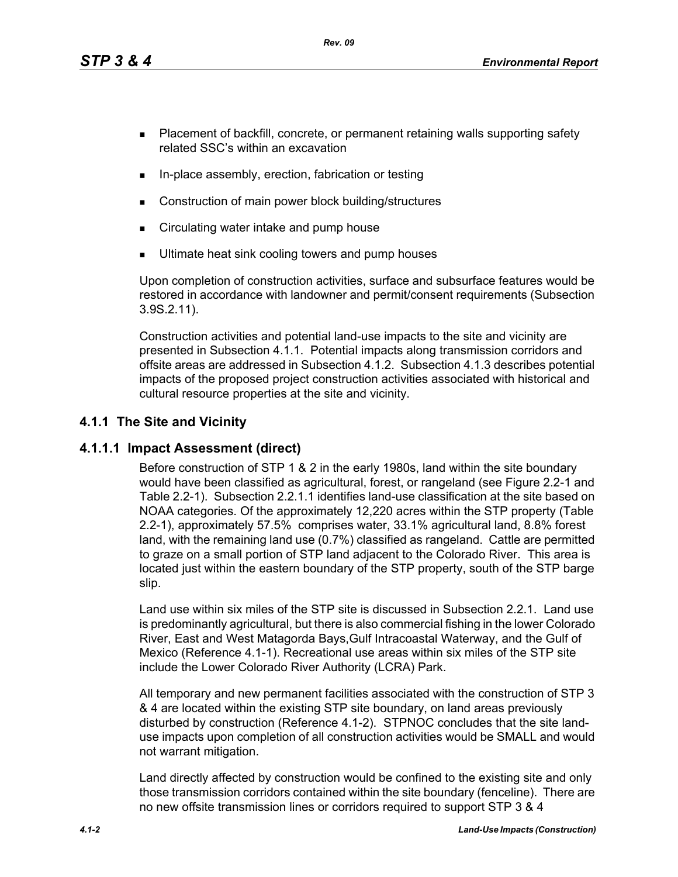*Rev. 09*

- **Placement of backfill, concrete, or permanent retaining walls supporting safety** related SSC's within an excavation
- In-place assembly, erection, fabrication or testing
- Construction of main power block building/structures
- **EXECT** Circulating water intake and pump house
- Ultimate heat sink cooling towers and pump houses

Upon completion of construction activities, surface and subsurface features would be restored in accordance with landowner and permit/consent requirements (Subsection 3.9S.2.11).

Construction activities and potential land-use impacts to the site and vicinity are presented in Subsection 4.1.1. Potential impacts along transmission corridors and offsite areas are addressed in Subsection 4.1.2. Subsection 4.1.3 describes potential impacts of the proposed project construction activities associated with historical and cultural resource properties at the site and vicinity.

# **4.1.1 The Site and Vicinity**

## **4.1.1.1 Impact Assessment (direct)**

Before construction of STP 1 & 2 in the early 1980s, land within the site boundary would have been classified as agricultural, forest, or rangeland (see Figure 2.2-1 and Table 2.2-1). Subsection 2.2.1.1 identifies land-use classification at the site based on NOAA categories. Of the approximately 12,220 acres within the STP property (Table 2.2-1), approximately 57.5% comprises water, 33.1% agricultural land, 8.8% forest land, with the remaining land use (0.7%) classified as rangeland. Cattle are permitted to graze on a small portion of STP land adjacent to the Colorado River. This area is located just within the eastern boundary of the STP property, south of the STP barge slip.

Land use within six miles of the STP site is discussed in Subsection 2.2.1. Land use is predominantly agricultural, but there is also commercial fishing in the lower Colorado River, East and West Matagorda Bays,Gulf Intracoastal Waterway, and the Gulf of Mexico (Reference 4.1-1). Recreational use areas within six miles of the STP site include the Lower Colorado River Authority (LCRA) Park.

All temporary and new permanent facilities associated with the construction of STP 3 & 4 are located within the existing STP site boundary, on land areas previously disturbed by construction (Reference 4.1-2). STPNOC concludes that the site landuse impacts upon completion of all construction activities would be SMALL and would not warrant mitigation.

Land directly affected by construction would be confined to the existing site and only those transmission corridors contained within the site boundary (fenceline). There are no new offsite transmission lines or corridors required to support STP 3 & 4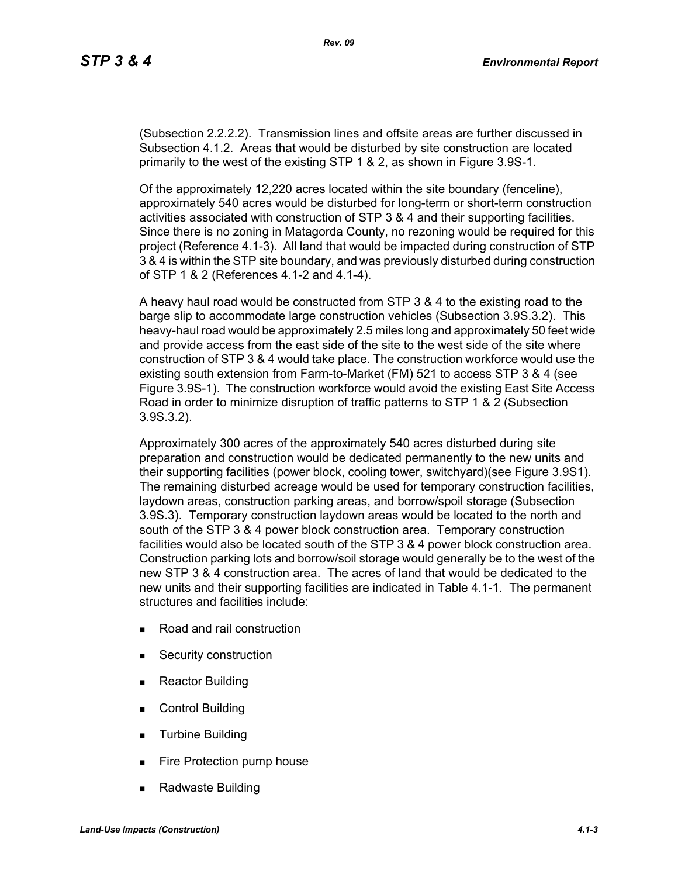(Subsection 2.2.2.2). Transmission lines and offsite areas are further discussed in Subsection 4.1.2. Areas that would be disturbed by site construction are located primarily to the west of the existing STP 1 & 2, as shown in Figure 3.9S-1.

Of the approximately 12,220 acres located within the site boundary (fenceline), approximately 540 acres would be disturbed for long-term or short-term construction activities associated with construction of STP 3 & 4 and their supporting facilities. Since there is no zoning in Matagorda County, no rezoning would be required for this project (Reference 4.1-3). All land that would be impacted during construction of STP 3 & 4 is within the STP site boundary, and was previously disturbed during construction of STP 1 & 2 (References 4.1-2 and 4.1-4).

A heavy haul road would be constructed from STP 3 & 4 to the existing road to the barge slip to accommodate large construction vehicles (Subsection 3.9S.3.2). This heavy-haul road would be approximately 2.5 miles long and approximately 50 feet wide and provide access from the east side of the site to the west side of the site where construction of STP 3 & 4 would take place. The construction workforce would use the existing south extension from Farm-to-Market (FM) 521 to access STP 3 & 4 (see Figure 3.9S-1). The construction workforce would avoid the existing East Site Access Road in order to minimize disruption of traffic patterns to STP 1 & 2 (Subsection 3.9S.3.2).

Approximately 300 acres of the approximately 540 acres disturbed during site preparation and construction would be dedicated permanently to the new units and their supporting facilities (power block, cooling tower, switchyard)(see Figure 3.9S1). The remaining disturbed acreage would be used for temporary construction facilities, laydown areas, construction parking areas, and borrow/spoil storage (Subsection 3.9S.3). Temporary construction laydown areas would be located to the north and south of the STP 3 & 4 power block construction area. Temporary construction facilities would also be located south of the STP 3 & 4 power block construction area. Construction parking lots and borrow/soil storage would generally be to the west of the new STP 3 & 4 construction area. The acres of land that would be dedicated to the new units and their supporting facilities are indicated in Table 4.1-1. The permanent structures and facilities include:

- Road and rail construction
- **Security construction**
- **Reactor Building**
- Control Building
- **Turbine Building**
- Fire Protection pump house
- Radwaste Building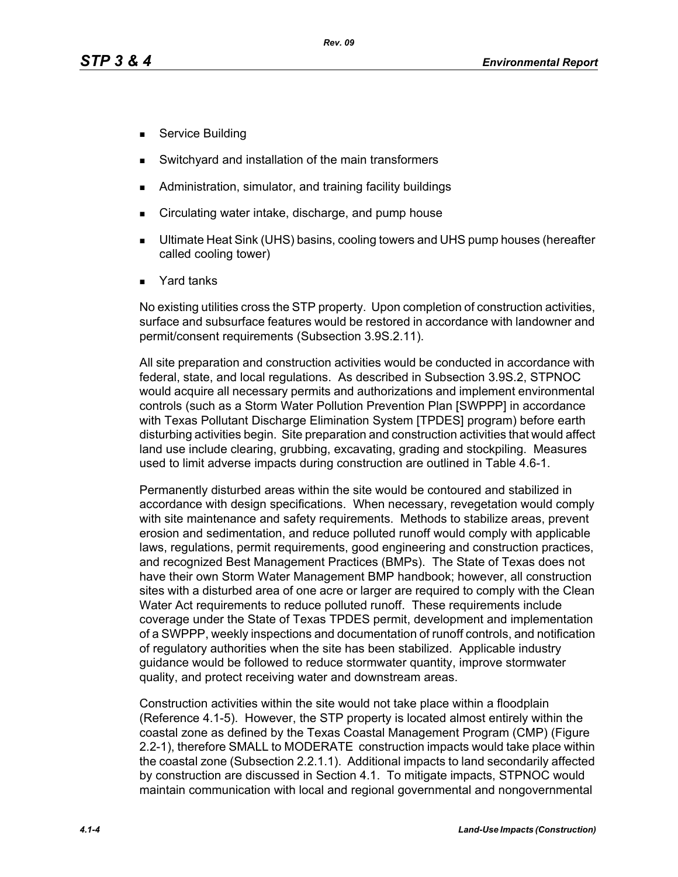- Service Building
- Switchyard and installation of the main transformers
- Administration, simulator, and training facility buildings
- Circulating water intake, discharge, and pump house
- Ultimate Heat Sink (UHS) basins, cooling towers and UHS pump houses (hereafter called cooling tower)
- Yard tanks

No existing utilities cross the STP property. Upon completion of construction activities, surface and subsurface features would be restored in accordance with landowner and permit/consent requirements (Subsection 3.9S.2.11).

All site preparation and construction activities would be conducted in accordance with federal, state, and local regulations. As described in Subsection 3.9S.2, STPNOC would acquire all necessary permits and authorizations and implement environmental controls (such as a Storm Water Pollution Prevention Plan [SWPPP] in accordance with Texas Pollutant Discharge Elimination System [TPDES] program) before earth disturbing activities begin. Site preparation and construction activities that would affect land use include clearing, grubbing, excavating, grading and stockpiling. Measures used to limit adverse impacts during construction are outlined in Table 4.6-1.

Permanently disturbed areas within the site would be contoured and stabilized in accordance with design specifications. When necessary, revegetation would comply with site maintenance and safety requirements. Methods to stabilize areas, prevent erosion and sedimentation, and reduce polluted runoff would comply with applicable laws, regulations, permit requirements, good engineering and construction practices, and recognized Best Management Practices (BMPs). The State of Texas does not have their own Storm Water Management BMP handbook; however, all construction sites with a disturbed area of one acre or larger are required to comply with the Clean Water Act requirements to reduce polluted runoff. These requirements include coverage under the State of Texas TPDES permit, development and implementation of a SWPPP, weekly inspections and documentation of runoff controls, and notification of regulatory authorities when the site has been stabilized. Applicable industry guidance would be followed to reduce stormwater quantity, improve stormwater quality, and protect receiving water and downstream areas.

Construction activities within the site would not take place within a floodplain (Reference 4.1-5). However, the STP property is located almost entirely within the coastal zone as defined by the Texas Coastal Management Program (CMP) (Figure 2.2-1), therefore SMALL to MODERATE construction impacts would take place within the coastal zone (Subsection 2.2.1.1). Additional impacts to land secondarily affected by construction are discussed in Section 4.1. To mitigate impacts, STPNOC would maintain communication with local and regional governmental and nongovernmental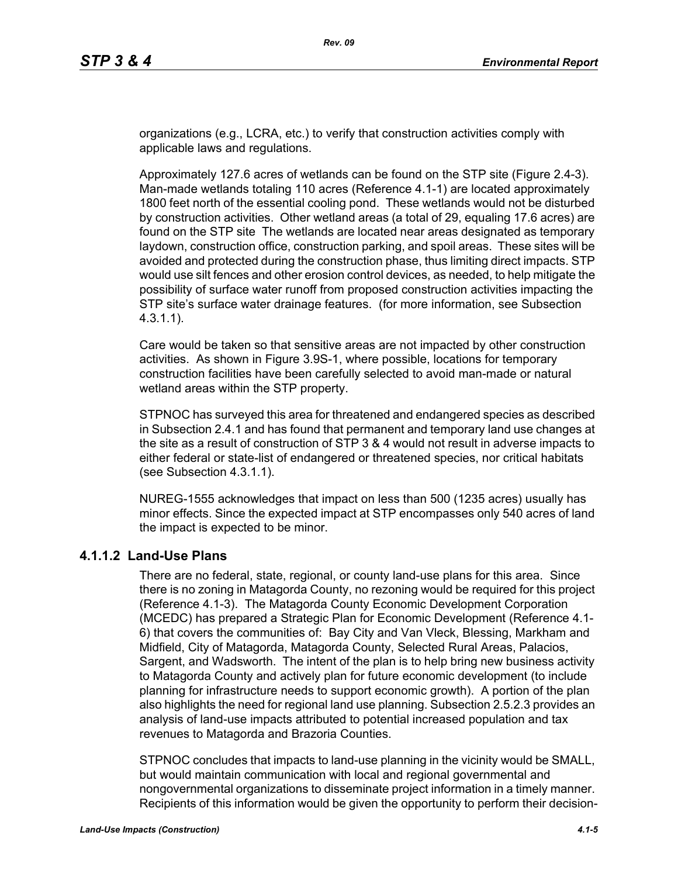organizations (e.g., LCRA, etc.) to verify that construction activities comply with applicable laws and regulations.

Approximately 127.6 acres of wetlands can be found on the STP site (Figure 2.4-3). Man-made wetlands totaling 110 acres (Reference 4.1-1) are located approximately 1800 feet north of the essential cooling pond. These wetlands would not be disturbed by construction activities. Other wetland areas (a total of 29, equaling 17.6 acres) are found on the STP site The wetlands are located near areas designated as temporary laydown, construction office, construction parking, and spoil areas. These sites will be avoided and protected during the construction phase, thus limiting direct impacts. STP would use silt fences and other erosion control devices, as needed, to help mitigate the possibility of surface water runoff from proposed construction activities impacting the STP site's surface water drainage features. (for more information, see Subsection 4.3.1.1).

Care would be taken so that sensitive areas are not impacted by other construction activities. As shown in Figure 3.9S-1, where possible, locations for temporary construction facilities have been carefully selected to avoid man-made or natural wetland areas within the STP property.

STPNOC has surveyed this area for threatened and endangered species as described in Subsection 2.4.1 and has found that permanent and temporary land use changes at the site as a result of construction of STP 3 & 4 would not result in adverse impacts to either federal or state-list of endangered or threatened species, nor critical habitats (see Subsection 4.3.1.1).

NUREG-1555 acknowledges that impact on less than 500 (1235 acres) usually has minor effects. Since the expected impact at STP encompasses only 540 acres of land the impact is expected to be minor.

## **4.1.1.2 Land-Use Plans**

There are no federal, state, regional, or county land-use plans for this area. Since there is no zoning in Matagorda County, no rezoning would be required for this project (Reference 4.1-3). The Matagorda County Economic Development Corporation (MCEDC) has prepared a Strategic Plan for Economic Development (Reference 4.1- 6) that covers the communities of: Bay City and Van Vleck, Blessing, Markham and Midfield, City of Matagorda, Matagorda County, Selected Rural Areas, Palacios, Sargent, and Wadsworth. The intent of the plan is to help bring new business activity to Matagorda County and actively plan for future economic development (to include planning for infrastructure needs to support economic growth). A portion of the plan also highlights the need for regional land use planning. Subsection 2.5.2.3 provides an analysis of land-use impacts attributed to potential increased population and tax revenues to Matagorda and Brazoria Counties.

STPNOC concludes that impacts to land-use planning in the vicinity would be SMALL, but would maintain communication with local and regional governmental and nongovernmental organizations to disseminate project information in a timely manner. Recipients of this information would be given the opportunity to perform their decision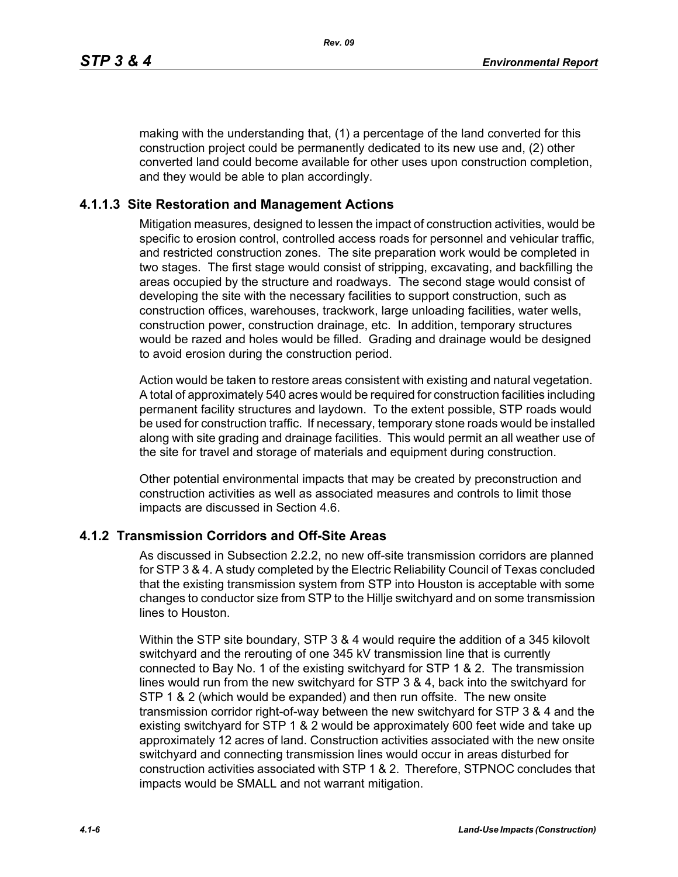making with the understanding that, (1) a percentage of the land converted for this construction project could be permanently dedicated to its new use and, (2) other converted land could become available for other uses upon construction completion, and they would be able to plan accordingly.

#### **4.1.1.3 Site Restoration and Management Actions**

Mitigation measures, designed to lessen the impact of construction activities, would be specific to erosion control, controlled access roads for personnel and vehicular traffic, and restricted construction zones. The site preparation work would be completed in two stages. The first stage would consist of stripping, excavating, and backfilling the areas occupied by the structure and roadways. The second stage would consist of developing the site with the necessary facilities to support construction, such as construction offices, warehouses, trackwork, large unloading facilities, water wells, construction power, construction drainage, etc. In addition, temporary structures would be razed and holes would be filled. Grading and drainage would be designed to avoid erosion during the construction period.

Action would be taken to restore areas consistent with existing and natural vegetation. A total of approximately 540 acres would be required for construction facilities including permanent facility structures and laydown. To the extent possible, STP roads would be used for construction traffic. If necessary, temporary stone roads would be installed along with site grading and drainage facilities. This would permit an all weather use of the site for travel and storage of materials and equipment during construction.

Other potential environmental impacts that may be created by preconstruction and construction activities as well as associated measures and controls to limit those impacts are discussed in Section 4.6.

### **4.1.2 Transmission Corridors and Off-Site Areas**

As discussed in Subsection 2.2.2, no new off-site transmission corridors are planned for STP 3 & 4. A study completed by the Electric Reliability Council of Texas concluded that the existing transmission system from STP into Houston is acceptable with some changes to conductor size from STP to the Hillje switchyard and on some transmission lines to Houston.

Within the STP site boundary, STP 3 & 4 would require the addition of a 345 kilovolt switchyard and the rerouting of one 345 kV transmission line that is currently connected to Bay No. 1 of the existing switchyard for STP 1 & 2. The transmission lines would run from the new switchyard for STP 3 & 4, back into the switchyard for STP 1 & 2 (which would be expanded) and then run offsite. The new onsite transmission corridor right-of-way between the new switchyard for STP 3 & 4 and the existing switchyard for STP 1 & 2 would be approximately 600 feet wide and take up approximately 12 acres of land. Construction activities associated with the new onsite switchyard and connecting transmission lines would occur in areas disturbed for construction activities associated with STP 1 & 2. Therefore, STPNOC concludes that impacts would be SMALL and not warrant mitigation.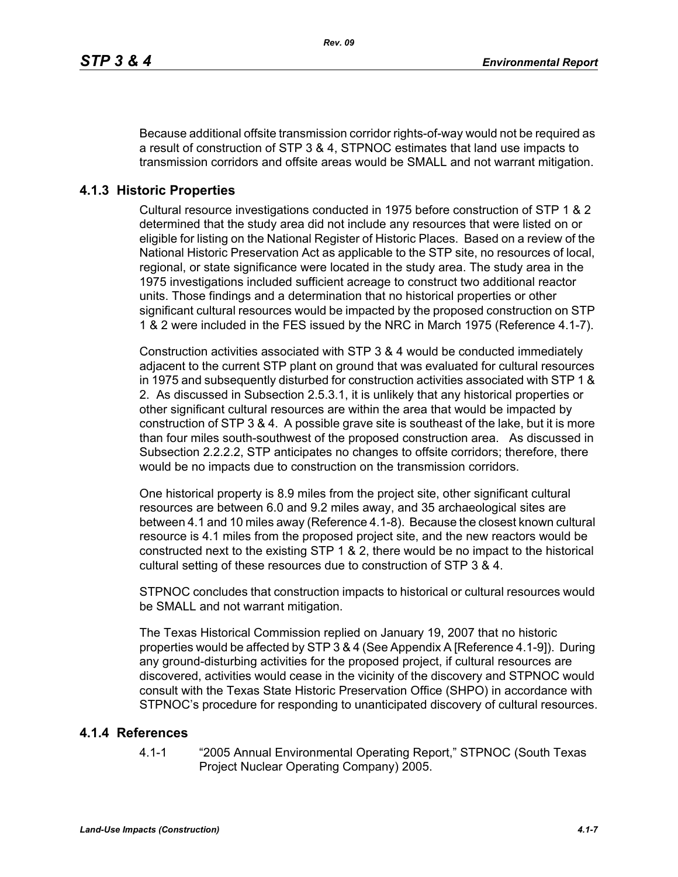Because additional offsite transmission corridor rights-of-way would not be required as a result of construction of STP 3 & 4, STPNOC estimates that land use impacts to transmission corridors and offsite areas would be SMALL and not warrant mitigation.

## **4.1.3 Historic Properties**

Cultural resource investigations conducted in 1975 before construction of STP 1 & 2 determined that the study area did not include any resources that were listed on or eligible for listing on the National Register of Historic Places. Based on a review of the National Historic Preservation Act as applicable to the STP site, no resources of local, regional, or state significance were located in the study area. The study area in the 1975 investigations included sufficient acreage to construct two additional reactor units. Those findings and a determination that no historical properties or other significant cultural resources would be impacted by the proposed construction on STP 1 & 2 were included in the FES issued by the NRC in March 1975 (Reference 4.1-7).

Construction activities associated with STP 3 & 4 would be conducted immediately adjacent to the current STP plant on ground that was evaluated for cultural resources in 1975 and subsequently disturbed for construction activities associated with STP 1 & 2. As discussed in Subsection 2.5.3.1, it is unlikely that any historical properties or other significant cultural resources are within the area that would be impacted by construction of STP 3 & 4. A possible grave site is southeast of the lake, but it is more than four miles south-southwest of the proposed construction area. As discussed in Subsection 2.2.2.2, STP anticipates no changes to offsite corridors; therefore, there would be no impacts due to construction on the transmission corridors.

One historical property is 8.9 miles from the project site, other significant cultural resources are between 6.0 and 9.2 miles away, and 35 archaeological sites are between 4.1 and 10 miles away (Reference 4.1-8). Because the closest known cultural resource is 4.1 miles from the proposed project site, and the new reactors would be constructed next to the existing STP 1 & 2, there would be no impact to the historical cultural setting of these resources due to construction of STP 3 & 4.

STPNOC concludes that construction impacts to historical or cultural resources would be SMALL and not warrant mitigation.

The Texas Historical Commission replied on January 19, 2007 that no historic properties would be affected by STP 3 & 4 (See Appendix A [Reference 4.1-9]). During any ground-disturbing activities for the proposed project, if cultural resources are discovered, activities would cease in the vicinity of the discovery and STPNOC would consult with the Texas State Historic Preservation Office (SHPO) in accordance with STPNOC's procedure for responding to unanticipated discovery of cultural resources.

## **4.1.4 References**

4.1-1 "2005 Annual Environmental Operating Report," STPNOC (South Texas Project Nuclear Operating Company) 2005.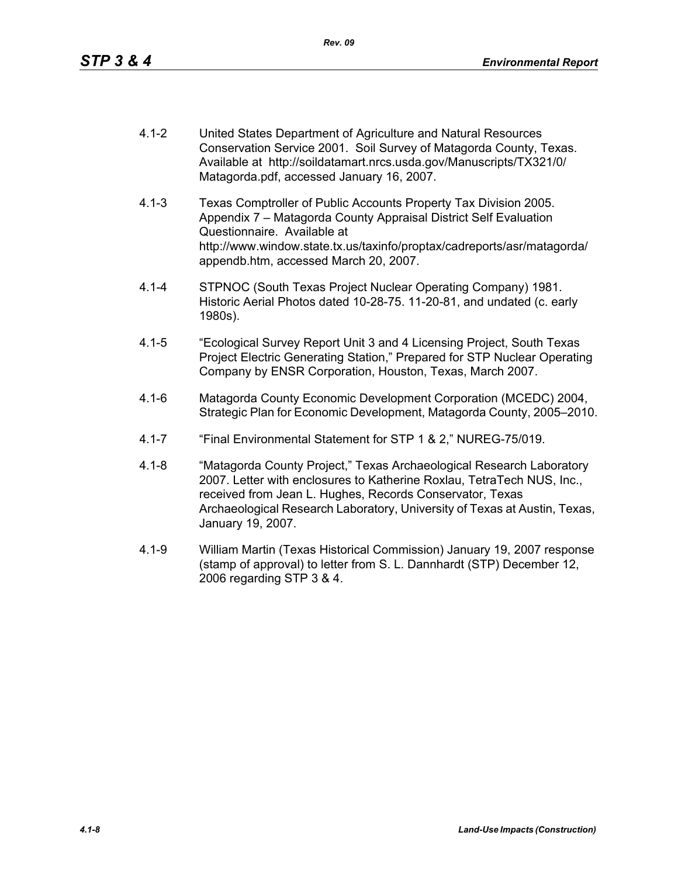- 4.1-2 United States Department of Agriculture and Natural Resources Conservation Service 2001. Soil Survey of Matagorda County, Texas. Available at http://soildatamart.nrcs.usda.gov/Manuscripts/TX321/0/ Matagorda.pdf, accessed January 16, 2007.
- 4.1-3 Texas Comptroller of Public Accounts Property Tax Division 2005. Appendix 7 – Matagorda County Appraisal District Self Evaluation Questionnaire. Available at http://www.window.state.tx.us/taxinfo/proptax/cadreports/asr/matagorda/ appendb.htm, accessed March 20, 2007.
- 4.1-4 STPNOC (South Texas Project Nuclear Operating Company) 1981. Historic Aerial Photos dated 10-28-75. 11-20-81, and undated (c. early 1980s).
- 4.1-5 "Ecological Survey Report Unit 3 and 4 Licensing Project, South Texas Project Electric Generating Station," Prepared for STP Nuclear Operating Company by ENSR Corporation, Houston, Texas, March 2007.
- 4.1-6 Matagorda County Economic Development Corporation (MCEDC) 2004, Strategic Plan for Economic Development, Matagorda County, 2005–2010.
- 4.1-7 "Final Environmental Statement for STP 1 & 2," NUREG-75/019.
- 4.1-8 "Matagorda County Project," Texas Archaeological Research Laboratory 2007. Letter with enclosures to Katherine Roxlau, TetraTech NUS, Inc., received from Jean L. Hughes, Records Conservator, Texas Archaeological Research Laboratory, University of Texas at Austin, Texas, January 19, 2007.
- 4.1-9 William Martin (Texas Historical Commission) January 19, 2007 response (stamp of approval) to letter from S. L. Dannhardt (STP) December 12, 2006 regarding STP 3 & 4.